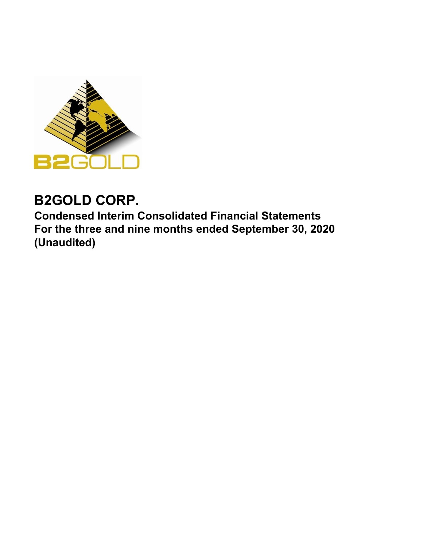

# **B2GOLD CORP.**

**Condensed Interim Consolidated Financial Statements For the three and nine months ended September 30, 2020 (Unaudited)**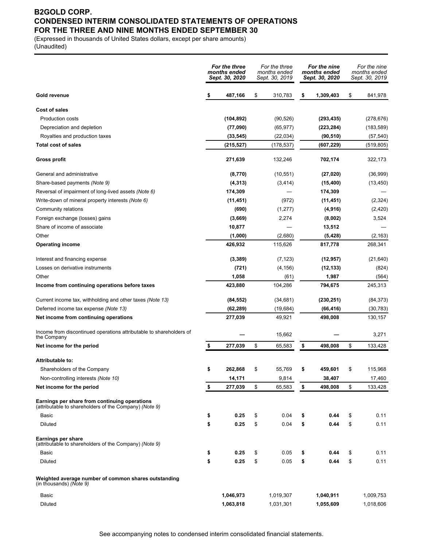## **B2GOLD CORP. CONDENSED INTERIM CONSOLIDATED STATEMENTS OF OPERATIONS FOR THE THREE AND NINE MONTHS ENDED SEPTEMBER 30**

(Expressed in thousands of United States dollars, except per share amounts) (Unaudited)

|                                                                                                         | For the three<br>months ended<br>Sept. 30, 2020 | For the three<br>months ended<br>Sept. 30, 2019 | For the nine<br>months ended<br>Sept. 30, 2020 | For the nine<br>months ended<br>Sept. 30, 2019 |
|---------------------------------------------------------------------------------------------------------|-------------------------------------------------|-------------------------------------------------|------------------------------------------------|------------------------------------------------|
| Gold revenue                                                                                            | \$<br>487,166                                   | \$<br>310,783                                   | \$<br>1,309,403                                | \$<br>841,978                                  |
| Cost of sales                                                                                           |                                                 |                                                 |                                                |                                                |
| <b>Production costs</b>                                                                                 | (104, 892)                                      | (90, 526)                                       | (293, 435)                                     | (278, 676)                                     |
| Depreciation and depletion                                                                              | (77,090)                                        | (65, 977)                                       | (223, 284)                                     | (183, 589)                                     |
| Royalties and production taxes                                                                          | (33, 545)                                       | (22, 034)                                       | (90, 510)                                      | (57, 540)                                      |
| <b>Total cost of sales</b>                                                                              | (215, 527)                                      | (178,537)                                       | (607, 229)                                     | (519, 805)                                     |
| Gross profit                                                                                            | 271,639                                         | 132,246                                         | 702,174                                        | 322,173                                        |
| General and administrative                                                                              | (8,770)                                         | (10, 551)                                       | (27, 020)                                      | (36,999)                                       |
| Share-based payments (Note 9)                                                                           | (4, 313)                                        | (3, 414)                                        | (15, 400)                                      | (13, 450)                                      |
| Reversal of impairment of long-lived assets (Note 6)                                                    | 174,309                                         |                                                 | 174,309                                        |                                                |
| Write-down of mineral property interests (Note 6)                                                       | (11, 451)                                       | (972)                                           | (11, 451)                                      | (2,324)                                        |
| Community relations                                                                                     | (690)                                           | (1, 277)                                        | (4, 916)                                       | (2,420)                                        |
| Foreign exchange (losses) gains                                                                         | (3,669)                                         | 2,274                                           | (8,002)                                        | 3,524                                          |
| Share of income of associate                                                                            | 10,877                                          |                                                 | 13,512                                         |                                                |
| Other                                                                                                   | (1,000)                                         | (2,680)                                         | (5, 428)                                       | (2, 163)                                       |
| <b>Operating income</b>                                                                                 | 426,932                                         | 115,626                                         | 817,778                                        | 268,341                                        |
| Interest and financing expense                                                                          | (3, 389)                                        | (7, 123)                                        | (12, 957)                                      | (21, 640)                                      |
| Losses on derivative instruments                                                                        | (721)                                           | (4, 156)                                        | (12, 133)                                      | (824)                                          |
| Other                                                                                                   | 1,058                                           | (61)                                            | 1,987                                          | (564)                                          |
| Income from continuing operations before taxes                                                          | 423,880                                         | 104,286                                         | 794,675                                        | 245,313                                        |
| Current income tax, withholding and other taxes (Note 13)                                               | (84, 552)                                       | (34, 681)                                       | (230, 251)                                     | (84, 373)                                      |
| Deferred income tax expense (Note 13)                                                                   | (62, 289)                                       | (19,684)                                        | (66, 416)                                      | (30, 783)                                      |
| Net income from continuing operations                                                                   | 277,039                                         | 49,921                                          | 498,008                                        | 130,157                                        |
| Income from discontinued operations attributable to shareholders of<br>the Company                      |                                                 | 15,662                                          |                                                | 3,271                                          |
| Net income for the period                                                                               | \$<br>277,039                                   | \$<br>65,583                                    | \$<br>498,008                                  | \$<br>133,428                                  |
| Attributable to:                                                                                        |                                                 |                                                 |                                                |                                                |
| Shareholders of the Company                                                                             | \$<br>262,868                                   | \$<br>55,769                                    | \$<br>459,601                                  | \$<br>115,968                                  |
| Non-controlling interests (Note 10)                                                                     | 14,171                                          | 9,814                                           | 38,407                                         | 17,460                                         |
| Net income for the period                                                                               | \$<br>277,039                                   | \$<br>65,583                                    | \$<br>498,008                                  | \$<br>133,428                                  |
| Earnings per share from continuing operations<br>(attributable to shareholders of the Company) (Note 9) |                                                 |                                                 |                                                |                                                |
| Basic                                                                                                   | \$<br>0.25                                      | \$<br>0.04                                      | \$<br>0.44                                     | \$<br>0.11                                     |
| Diluted                                                                                                 | \$<br>0.25                                      | \$<br>0.04                                      | \$<br>0.44                                     | \$<br>0.11                                     |
|                                                                                                         |                                                 |                                                 |                                                |                                                |
| Earnings per share<br>(attributable to shareholders of the Company) (Note 9)                            |                                                 |                                                 |                                                |                                                |
| Basic                                                                                                   | \$<br>0.25                                      | \$<br>0.05                                      | \$<br>0.44                                     | \$<br>0.11                                     |
| Diluted                                                                                                 | \$<br>0.25                                      | \$<br>0.05                                      | \$<br>0.44                                     | \$<br>0.11                                     |
| Weighted average number of common shares outstanding<br>(in thousands) (Note 9)                         |                                                 |                                                 |                                                |                                                |
| Basic                                                                                                   | 1,046,973                                       | 1,019,307                                       | 1,040,911                                      | 1,009,753                                      |
| Diluted                                                                                                 | 1,063,818                                       | 1,031,301                                       | 1,055,609                                      | 1,018,606                                      |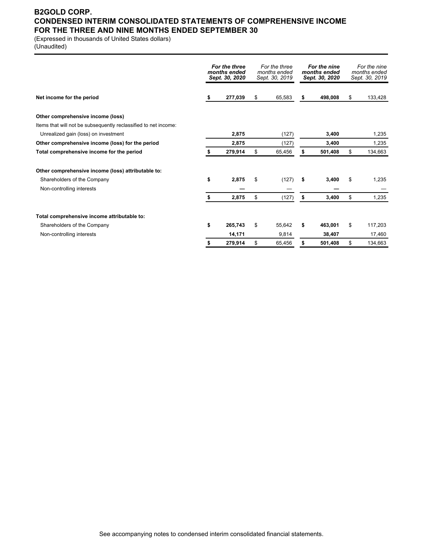## **B2GOLD CORP. CONDENSED INTERIM CONSOLIDATED STATEMENTS OF COMPREHENSIVE INCOME FOR THE THREE AND NINE MONTHS ENDED SEPTEMBER 30**

(Expressed in thousands of United States dollars)

(Unaudited)

|                                                                 |    | For the three<br>months ended<br>Sept. 30, 2020 | For the three<br>months ended<br>Sept. 30, 2019 | For the nine<br>months ended<br>Sept. 30, 2020 | For the nine<br>months ended<br>Sept. 30, 2019 |
|-----------------------------------------------------------------|----|-------------------------------------------------|-------------------------------------------------|------------------------------------------------|------------------------------------------------|
| Net income for the period                                       | S  | 277,039                                         | \$<br>65,583                                    | \$<br>498.008                                  | \$<br>133,428                                  |
| Other comprehensive income (loss)                               |    |                                                 |                                                 |                                                |                                                |
| Items that will not be subsequently reclassified to net income: |    |                                                 |                                                 |                                                |                                                |
| Unrealized gain (loss) on investment                            |    | 2,875                                           | (127)                                           | 3,400                                          | 1,235                                          |
| Other comprehensive income (loss) for the period                |    | 2,875                                           | (127)                                           | 3,400                                          | 1,235                                          |
| Total comprehensive income for the period                       |    | 279,914                                         | \$<br>65,456                                    | 501,408                                        | \$<br>134,663                                  |
| Other comprehensive income (loss) attributable to:              |    |                                                 |                                                 |                                                |                                                |
| Shareholders of the Company                                     | \$ | 2,875                                           | \$<br>(127)                                     | \$<br>3,400                                    | \$<br>1,235                                    |
| Non-controlling interests                                       |    |                                                 |                                                 |                                                |                                                |
|                                                                 | \$ | 2,875                                           | \$<br>(127)                                     | \$<br>3,400                                    | \$<br>1,235                                    |
| Total comprehensive income attributable to:                     |    |                                                 |                                                 |                                                |                                                |
| Shareholders of the Company                                     | \$ | 265,743                                         | \$<br>55,642                                    | \$<br>463,001                                  | \$<br>117,203                                  |
| Non-controlling interests                                       |    | 14,171                                          | 9,814                                           | 38,407                                         | 17,460                                         |
|                                                                 |    | 279,914                                         | \$<br>65,456                                    | \$<br>501,408                                  | \$<br>134,663                                  |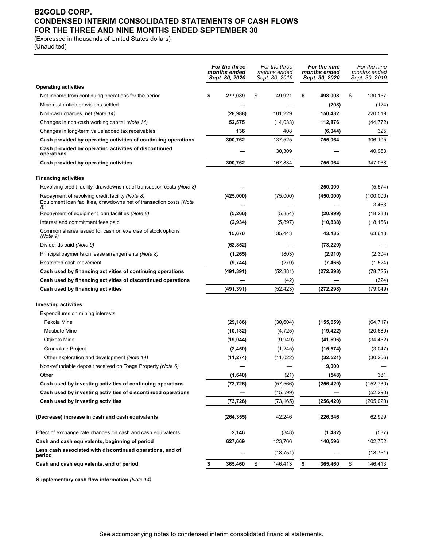## **B2GOLD CORP. CONDENSED INTERIM CONSOLIDATED STATEMENTS OF CASH FLOWS FOR THE THREE AND NINE MONTHS ENDED SEPTEMBER 30**

(Expressed in thousands of United States dollars)

(Unaudited)

|                                                                                                                              | For the three<br>months ended<br>Sept. 30, 2020 | For the three<br>months ended<br>Sept. 30, 2019 | For the nine<br>months ended<br>Sept. 30, 2020 | For the nine<br>months ended<br>Sept. 30, 2019 |
|------------------------------------------------------------------------------------------------------------------------------|-------------------------------------------------|-------------------------------------------------|------------------------------------------------|------------------------------------------------|
| <b>Operating activities</b>                                                                                                  |                                                 |                                                 |                                                |                                                |
| Net income from continuing operations for the period                                                                         | \$<br>277,039                                   | \$<br>49,921                                    | \$<br>498,008                                  | \$<br>130,157                                  |
| Mine restoration provisions settled                                                                                          |                                                 |                                                 | (208)                                          | (124)                                          |
| Non-cash charges, net (Note 14)                                                                                              | (28, 988)                                       | 101,229                                         | 150,432                                        | 220,519                                        |
| Changes in non-cash working capital (Note 14)                                                                                | 52,575                                          | (14, 033)                                       | 112,876                                        | (44, 772)                                      |
| Changes in long-term value added tax receivables                                                                             | 136                                             | 408                                             | (6,044)                                        | 325                                            |
| Cash provided by operating activities of continuing operations                                                               | 300,762                                         | 137,525                                         | 755,064                                        | 306,105                                        |
| Cash provided by operating activities of discontinued<br>operations                                                          |                                                 | 30,309                                          |                                                | 40,963                                         |
| Cash provided by operating activities                                                                                        | 300,762                                         | 167,834                                         | 755,064                                        | 347,068                                        |
| <b>Financing activities</b>                                                                                                  |                                                 |                                                 |                                                |                                                |
| Revolving credit facility, drawdowns net of transaction costs (Note 8)                                                       |                                                 |                                                 | 250,000                                        | (5, 574)                                       |
| Repayment of revolving credit facility (Note 8)<br>Equipment loan facilities, drawdowns net of transaction costs (Note<br>8) | (425,000)                                       | (75,000)                                        | (450,000)                                      | (100,000)<br>3,463                             |
| Repayment of equipment loan facilities (Note 8)                                                                              | (5,266)                                         | (5,854)                                         | (20, 999)                                      | (18, 233)                                      |
| Interest and commitment fees paid                                                                                            | (2,934)                                         | (5,897)                                         | (10, 838)                                      | (18, 166)                                      |
| Common shares issued for cash on exercise of stock options<br>(Note 9)                                                       | 15,670                                          | 35,443                                          | 43,135                                         | 63,613                                         |
| Dividends paid (Note 9)                                                                                                      | (62, 852)                                       |                                                 | (73, 220)                                      |                                                |
| Principal payments on lease arrangements (Note 8)                                                                            | (1, 265)                                        | (803)                                           | (2,910)                                        | (2,304)                                        |
| Restricted cash movement                                                                                                     | (9,744)                                         | (270)                                           | (7, 466)                                       | (1,524)                                        |
| Cash used by financing activities of continuing operations                                                                   | (491,391)                                       | (52, 381)                                       | (272, 298)                                     | (78, 725)                                      |
| Cash used by financing activities of discontinued operations                                                                 |                                                 | (42)                                            |                                                | (324)                                          |
| Cash used by financing activities                                                                                            | (491, 391)                                      | (52, 423)                                       | (272, 298)                                     | (79, 049)                                      |
| <b>Investing activities</b>                                                                                                  |                                                 |                                                 |                                                |                                                |
| Expenditures on mining interests:                                                                                            |                                                 |                                                 |                                                |                                                |
| Fekola Mine                                                                                                                  | (29, 186)                                       | (30, 604)                                       | (155, 659)                                     | (64, 717)                                      |
| Masbate Mine                                                                                                                 | (10, 132)                                       | (4, 725)                                        | (19, 422)                                      | (20, 689)                                      |
| Otjikoto Mine                                                                                                                | (19, 044)                                       | (9,949)                                         | (41,696)                                       | (34, 452)                                      |
| <b>Gramalote Project</b>                                                                                                     | (2, 450)                                        | (1,245)                                         | (15, 574)                                      | (3,047)                                        |
| Other exploration and development (Note 14)                                                                                  | (11, 274)                                       | (11, 022)                                       | (32, 521)                                      | (30, 206)                                      |
| Non-refundable deposit received on Toega Property (Note 6)                                                                   |                                                 |                                                 | 9,000                                          |                                                |
| Other                                                                                                                        | (1,640)                                         | (21)                                            | (548)                                          | 381                                            |
| Cash used by investing activities of continuing operations                                                                   | (73, 726)                                       | (57, 566)                                       | (256, 420)                                     | (152, 730)                                     |
| Cash used by investing activities of discontinued operations                                                                 |                                                 | (15, 599)                                       |                                                | (52, 290)                                      |
| Cash used by investing activities                                                                                            | (73, 726)                                       | (73, 165)                                       | (256, 420)                                     | (205, 020)                                     |
| (Decrease) increase in cash and cash equivalents                                                                             | (264, 355)                                      | 42,246                                          | 226,346                                        | 62,999                                         |
| Effect of exchange rate changes on cash and cash equivalents                                                                 | 2,146                                           | (848)                                           | (1, 482)                                       | (587)                                          |
| Cash and cash equivalents, beginning of period                                                                               | 627,669                                         | 123,766                                         | 140,596                                        | 102,752                                        |
| Less cash associated with discontinued operations, end of<br>period                                                          |                                                 | (18, 751)                                       |                                                | (18, 751)                                      |
| Cash and cash equivalents, end of period                                                                                     | \$<br>365,460                                   | \$<br>146,413                                   | \$<br>365,460                                  | \$<br>146,413                                  |

**Supplementary cash flow information** *(Note 14)*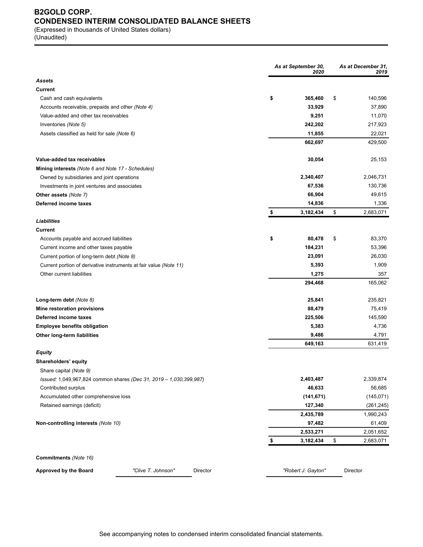# **B2GOLD CORP. CONDENSED INTERIM CONSOLIDATED BALANCE SHEETS**

(Expressed in thousands of United States dollars) (Unaudited)

|                                                                   |                                                                    |          | As at September 30, | As at December 31,<br>2019 |    |                         |
|-------------------------------------------------------------------|--------------------------------------------------------------------|----------|---------------------|----------------------------|----|-------------------------|
| Assets                                                            |                                                                    |          |                     |                            |    |                         |
| Current                                                           |                                                                    |          |                     |                            |    |                         |
| Cash and cash equivalents                                         |                                                                    |          | \$                  | 365,460                    | \$ | 140,596                 |
| Accounts receivable, prepaids and other (Note 4)                  |                                                                    |          |                     | 33,929                     |    | 37,890                  |
| Value-added and other tax receivables                             |                                                                    |          |                     | 9,251                      |    | 11,070                  |
| Inventories (Note 5)                                              |                                                                    |          |                     | 242,202                    |    | 217,923                 |
| Assets classified as held for sale (Note 6)                       |                                                                    |          |                     | 11,855                     |    | 22,021                  |
|                                                                   |                                                                    |          |                     | 662,697                    |    | 429,500                 |
| Value-added tax receivables                                       |                                                                    |          |                     | 30,054                     |    | 25,153                  |
| Mining interests (Note 6 and Note 17 - Schedules)                 |                                                                    |          |                     |                            |    |                         |
| Owned by subsidiaries and joint operations                        |                                                                    |          |                     | 2,340,407                  |    | 2,046,731               |
| Investments in joint ventures and associates                      |                                                                    |          |                     | 67,536                     |    | 130,736                 |
| Other assets (Note 7)                                             |                                                                    |          |                     | 66,904                     |    | 49,615                  |
| Deferred income taxes                                             |                                                                    |          |                     | 14,836                     |    | 1,336                   |
|                                                                   |                                                                    |          | \$                  | 3,182,434                  | \$ | 2,683,071               |
| <b>Liabilities</b>                                                |                                                                    |          |                     |                            |    |                         |
| Current                                                           |                                                                    |          |                     |                            |    |                         |
| Accounts payable and accrued liabilities                          |                                                                    |          | \$                  | 80,478                     | \$ | 83,370                  |
| Current income and other taxes payable                            |                                                                    |          |                     | 184,231                    |    | 53,396                  |
| Current portion of long-term debt (Note 8)                        |                                                                    |          |                     | 23,091                     |    | 26,030                  |
| Current portion of derivative instruments at fair value (Note 11) |                                                                    |          |                     | 5,393                      |    | 1,909                   |
| Other current liabilities                                         |                                                                    |          |                     | 1,275                      |    | 357                     |
|                                                                   |                                                                    |          |                     | 294,468                    |    | 165,062                 |
| Long-term debt (Note 8)                                           |                                                                    |          |                     | 25,841                     |    | 235,821                 |
| Mine restoration provisions                                       |                                                                    |          |                     | 88,479                     |    | 75,419                  |
| Deferred income taxes                                             |                                                                    |          |                     | 225,506                    |    | 145,590                 |
| <b>Employee benefits obligation</b>                               |                                                                    |          |                     | 5,383                      |    | 4,736                   |
| Other long-term liabilities                                       |                                                                    |          |                     | 9,486                      |    | 4,791                   |
|                                                                   |                                                                    |          |                     | 649,163                    |    | 631,419                 |
| Equity                                                            |                                                                    |          |                     |                            |    |                         |
| Shareholders' equity                                              |                                                                    |          |                     |                            |    |                         |
| Share capital (Note 9)                                            |                                                                    |          |                     |                            |    |                         |
|                                                                   | Issued: 1,049,967,824 common shares (Dec 31, 2019 - 1,030,399,987) |          |                     | 2,403,487<br>46,633        |    | 2,339,874               |
| Contributed surplus<br>Accumulated other comprehensive loss       |                                                                    |          |                     | (141, 671)                 |    | 56,685<br>(145, 071)    |
|                                                                   |                                                                    |          |                     | 127,340                    |    |                         |
| Retained earnings (deficit)                                       |                                                                    |          |                     | 2,435,789                  |    | (261, 245)<br>1,990,243 |
| Non-controlling interests (Note 10)                               |                                                                    |          |                     | 97,482                     |    | 61,409                  |
|                                                                   |                                                                    |          |                     | 2,533,271                  |    | 2,051,652               |
|                                                                   |                                                                    |          |                     | 3,182,434                  | \$ | 2,683,071               |
|                                                                   |                                                                    |          |                     |                            |    |                         |
| <b>Commitments</b> (Note 16)                                      |                                                                    |          |                     |                            |    |                         |
| <b>Approved by the Board</b>                                      | "Clive T. Johnson"                                                 | Director |                     | "Robert J. Gayton"         |    | Director                |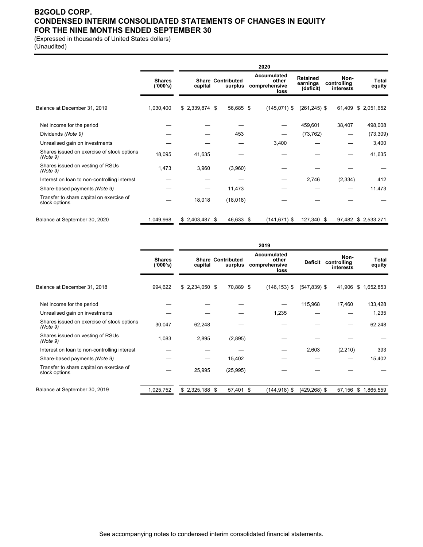## **B2GOLD CORP. CONDENSED INTERIM CONSOLIDATED STATEMENTS OF CHANGES IN EQUITY FOR THE NINE MONTHS ENDED SEPTEMBER 30**

(Expressed in thousands of United States dollars)

(Unaudited)

|                                                           |                           | 2020            |                                     |                                                      |                                          |                                  |                     |
|-----------------------------------------------------------|---------------------------|-----------------|-------------------------------------|------------------------------------------------------|------------------------------------------|----------------------------------|---------------------|
|                                                           | <b>Shares</b><br>('000's) | capital         | <b>Share Contributed</b><br>surplus | <b>Accumulated</b><br>other<br>comprehensive<br>loss | <b>Retained</b><br>earnings<br>(deficit) | Non-<br>controlling<br>interests | Total<br>equity     |
| Balance at December 31, 2019                              | 1,030,400                 | $$2,339,874$ \$ | 56,685 \$                           | $(145,071)$ \$                                       | $(261, 245)$ \$                          | 61,409                           | \$ 2,051,652        |
| Net income for the period                                 |                           |                 |                                     |                                                      | 459,601                                  | 38,407                           | 498,008             |
| Dividends (Note 9)                                        |                           |                 | 453                                 |                                                      | (73, 762)                                |                                  | (73, 309)           |
| Unrealised gain on investments                            |                           |                 |                                     | 3,400                                                |                                          |                                  | 3,400               |
| Shares issued on exercise of stock options<br>(Note 9)    | 18,095                    | 41,635          |                                     |                                                      |                                          |                                  | 41,635              |
| Shares issued on vesting of RSUs<br>(Note 9)              | 1,473                     | 3,960           | (3,960)                             |                                                      |                                          |                                  |                     |
| Interest on loan to non-controlling interest              |                           |                 |                                     |                                                      | 2,746                                    | (2, 334)                         | 412                 |
| Share-based payments (Note 9)                             |                           |                 | 11,473                              |                                                      |                                          |                                  | 11,473              |
| Transfer to share capital on exercise of<br>stock options |                           | 18,018          | (18,018)                            |                                                      |                                          |                                  |                     |
| Balance at September 30, 2020                             | 1,049,968                 | $$2,403,487$ \$ | 46,633 \$                           | $(141, 671)$ \$                                      | 127,340 \$                               |                                  | 97,482 \$ 2,533,271 |

|                                                           |                           | 2019            |                                     |                                               |                 |                                          |                 |
|-----------------------------------------------------------|---------------------------|-----------------|-------------------------------------|-----------------------------------------------|-----------------|------------------------------------------|-----------------|
|                                                           | <b>Shares</b><br>('000's) | capital         | <b>Share Contributed</b><br>surplus | Accumulated<br>other<br>comprehensive<br>loss |                 | Non-<br>Deficit controlling<br>interests | Total<br>equity |
| Balance at December 31, 2018                              | 994,622                   | $$2,234,050$ \$ | 70,889 \$                           | $(146, 153)$ \$                               | $(547, 839)$ \$ | 41,906                                   | \$1,652,853     |
| Net income for the period                                 |                           |                 |                                     |                                               | 115,968         | 17,460                                   | 133,428         |
| Unrealised gain on investments                            |                           |                 |                                     | 1,235                                         |                 |                                          | 1,235           |
| Shares issued on exercise of stock options<br>(Note 9)    | 30,047                    | 62,248          |                                     |                                               |                 |                                          | 62,248          |
| Shares issued on vesting of RSUs<br>(Note 9)              | 1,083                     | 2,895           | (2,895)                             |                                               |                 |                                          |                 |
| Interest on loan to non-controlling interest              |                           |                 |                                     |                                               | 2,603           | (2,210)                                  | 393             |
| Share-based payments (Note 9)                             |                           |                 | 15,402                              |                                               |                 |                                          | 15,402          |
| Transfer to share capital on exercise of<br>stock options |                           | 25,995          | (25, 995)                           |                                               |                 |                                          |                 |
| Balance at September 30, 2019                             | 1,025,752                 | $$2,325,188$ \$ | 57,401 \$                           | $(144, 918)$ \$                               | $(429, 268)$ \$ | 57,156                                   | \$1,865,559     |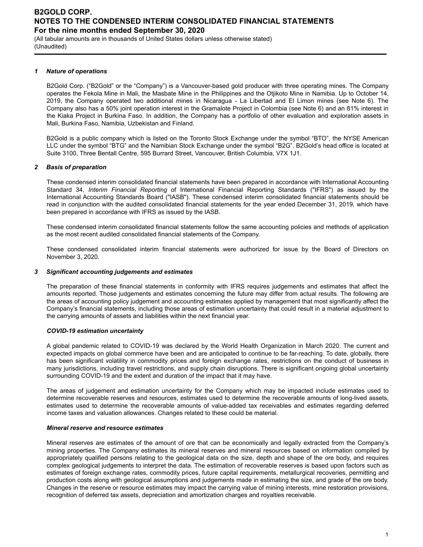(All tabular amounts are in thousands of United States dollars unless otherwise stated) (Unaudited)

#### *1 Nature of operations*

B2Gold Corp. ("B2Gold" or the "Company") is a Vancouver-based gold producer with three operating mines. The Company operates the Fekola Mine in Mali, the Masbate Mine in the Philippines and the Otjikoto Mine in Namibia. Up to October 14, 2019, the Company operated two additional mines in Nicaragua - La Libertad and El Limon mines (see Note 6). The Company also has a 50% joint operation interest in the Gramalote Project in Colombia (see Note 6) and an 81% interest in the Kiaka Project in Burkina Faso. In addition, the Company has a portfolio of other evaluation and exploration assets in Mali, Burkina Faso, Namibia, Uzbekistan and Finland.

B2Gold is a public company which is listed on the Toronto Stock Exchange under the symbol "BTO", the NYSE American LLC under the symbol "BTG" and the Namibian Stock Exchange under the symbol "B2G". B2Gold's head office is located at Suite 3100, Three Bentall Centre, 595 Burrard Street, Vancouver, British Columbia, V7X 1J1.

## *2 Basis of preparation*

These condensed interim consolidated financial statements have been prepared in accordance with International Accounting Standard 34, *Interim Financial Reporting* of International Financial Reporting Standards ("IFRS") as issued by the International Accounting Standards Board ("IASB"). These condensed interim consolidated financial statements should be read in conjunction with the audited consolidated financial statements for the year ended December 31, 2019, which have been prepared in accordance with IFRS as issued by the IASB.

These condensed interim consolidated financial statements follow the same accounting policies and methods of application as the most recent audited consolidated financial statements of the Company.

These condensed consolidated interim financial statements were authorized for issue by the Board of Directors on November 3, 2020.

#### *3 Significant accounting judgements and estimates*

The preparation of these financial statements in conformity with IFRS requires judgements and estimates that affect the amounts reported. Those judgements and estimates concerning the future may differ from actual results. The following are the areas of accounting policy judgement and accounting estimates applied by management that most significantly affect the Company's financial statements, including those areas of estimation uncertainty that could result in a material adjustment to the carrying amounts of assets and liabilities within the next financial year.

#### *COVID-19 estimation uncertainty*

A global pandemic related to COVID-19 was declared by the World Health Organization in March 2020. The current and expected impacts on global commerce have been and are anticipated to continue to be far-reaching. To date, globally, there has been significant volatility in commodity prices and foreign exchange rates, restrictions on the conduct of business in many jurisdictions, including travel restrictions, and supply chain disruptions. There is significant ongoing global uncertainty surrounding COVID-19 and the extent and duration of the impact that it may have.

The areas of judgement and estimation uncertainty for the Company which may be impacted include estimates used to determine recoverable reserves and resources, estimates used to determine the recoverable amounts of long-lived assets, estimates used to determine the recoverable amounts of value-added tax receivables and estimates regarding deferred income taxes and valuation allowances. Changes related to these could be material.

#### *Mineral reserve and resource estimates*

Mineral reserves are estimates of the amount of ore that can be economically and legally extracted from the Company's mining properties. The Company estimates its mineral reserves and mineral resources based on information compiled by appropriately qualified persons relating to the geological data on the size, depth and shape of the ore body, and requires complex geological judgements to interpret the data. The estimation of recoverable reserves is based upon factors such as estimates of foreign exchange rates, commodity prices, future capital requirements, metallurgical recoveries, permitting and production costs along with geological assumptions and judgements made in estimating the size, and grade of the ore body. Changes in the reserve or resource estimates may impact the carrying value of mining interests, mine restoration provisions, recognition of deferred tax assets, depreciation and amortization charges and royalties receivable.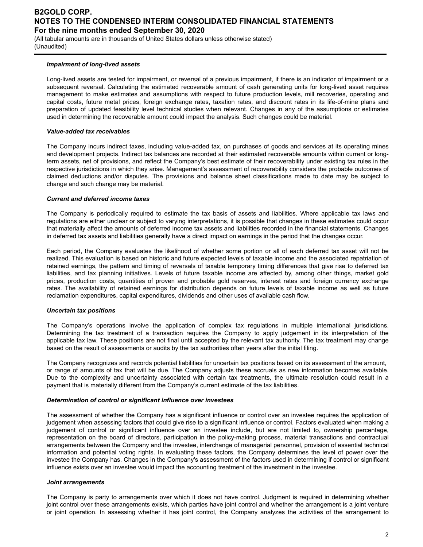(All tabular amounts are in thousands of United States dollars unless otherwise stated) (Unaudited)

#### *Impairment of long-lived assets*

Long-lived assets are tested for impairment, or reversal of a previous impairment, if there is an indicator of impairment or a subsequent reversal. Calculating the estimated recoverable amount of cash generating units for long-lived asset requires management to make estimates and assumptions with respect to future production levels, mill recoveries, operating and capital costs, future metal prices, foreign exchange rates, taxation rates, and discount rates in its life-of-mine plans and preparation of updated feasibility level technical studies when relevant. Changes in any of the assumptions or estimates used in determining the recoverable amount could impact the analysis. Such changes could be material.

#### *Value-added tax receivables*

The Company incurs indirect taxes, including value-added tax, on purchases of goods and services at its operating mines and development projects. Indirect tax balances are recorded at their estimated recoverable amounts within current or longterm assets, net of provisions, and reflect the Company's best estimate of their recoverability under existing tax rules in the respective jurisdictions in which they arise. Management's assessment of recoverability considers the probable outcomes of claimed deductions and/or disputes. The provisions and balance sheet classifications made to date may be subject to change and such change may be material.

#### *Current and deferred income taxes*

The Company is periodically required to estimate the tax basis of assets and liabilities. Where applicable tax laws and regulations are either unclear or subject to varying interpretations, it is possible that changes in these estimates could occur that materially affect the amounts of deferred income tax assets and liabilities recorded in the financial statements. Changes in deferred tax assets and liabilities generally have a direct impact on earnings in the period that the changes occur.

Each period, the Company evaluates the likelihood of whether some portion or all of each deferred tax asset will not be realized. This evaluation is based on historic and future expected levels of taxable income and the associated repatriation of retained earnings, the pattern and timing of reversals of taxable temporary timing differences that give rise to deferred tax liabilities, and tax planning initiatives. Levels of future taxable income are affected by, among other things, market gold prices, production costs, quantities of proven and probable gold reserves, interest rates and foreign currency exchange rates. The availability of retained earnings for distribution depends on future levels of taxable income as well as future reclamation expenditures, capital expenditures, dividends and other uses of available cash flow.

#### *Uncertain tax positions*

The Company's operations involve the application of complex tax regulations in multiple international jurisdictions. Determining the tax treatment of a transaction requires the Company to apply judgement in its interpretation of the applicable tax law. These positions are not final until accepted by the relevant tax authority. The tax treatment may change based on the result of assessments or audits by the tax authorities often years after the initial filing.

The Company recognizes and records potential liabilities for uncertain tax positions based on its assessment of the amount, or range of amounts of tax that will be due. The Company adjusts these accruals as new information becomes available. Due to the complexity and uncertainty associated with certain tax treatments, the ultimate resolution could result in a payment that is materially different from the Company's current estimate of the tax liabilities.

#### *Determination of control or significant influence over investees*

The assessment of whether the Company has a significant influence or control over an investee requires the application of judgement when assessing factors that could give rise to a significant influence or control. Factors evaluated when making a judgement of control or significant influence over an investee include, but are not limited to, ownership percentage, representation on the board of directors, participation in the policy-making process, material transactions and contractual arrangements between the Company and the investee, interchange of managerial personnel, provision of essential technical information and potential voting rights. In evaluating these factors, the Company determines the level of power over the investee the Company has. Changes in the Company's assessment of the factors used in determining if control or significant influence exists over an investee would impact the accounting treatment of the investment in the investee.

#### *Joint arrangements*

The Company is party to arrangements over which it does not have control. Judgment is required in determining whether joint control over these arrangements exists, which parties have joint control and whether the arrangement is a joint venture or joint operation. In assessing whether it has joint control, the Company analyzes the activities of the arrangement to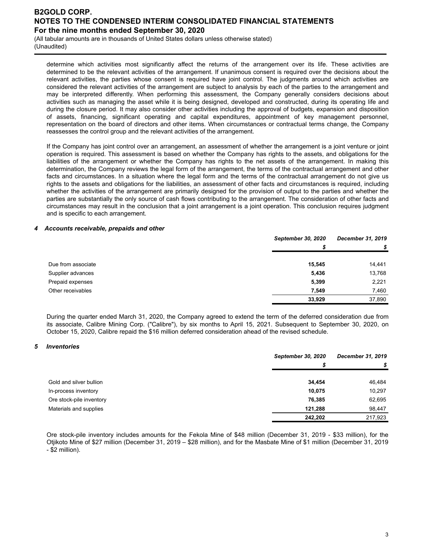(All tabular amounts are in thousands of United States dollars unless otherwise stated) (Unaudited)

determine which activities most significantly affect the returns of the arrangement over its life. These activities are determined to be the relevant activities of the arrangement. If unanimous consent is required over the decisions about the relevant activities, the parties whose consent is required have joint control. The judgments around which activities are considered the relevant activities of the arrangement are subject to analysis by each of the parties to the arrangement and may be interpreted differently. When performing this assessment, the Company generally considers decisions about activities such as managing the asset while it is being designed, developed and constructed, during its operating life and during the closure period. It may also consider other activities including the approval of budgets, expansion and disposition of assets, financing, significant operating and capital expenditures, appointment of key management personnel, representation on the board of directors and other items. When circumstances or contractual terms change, the Company reassesses the control group and the relevant activities of the arrangement.

If the Company has joint control over an arrangement, an assessment of whether the arrangement is a joint venture or joint operation is required. This assessment is based on whether the Company has rights to the assets, and obligations for the liabilities of the arrangement or whether the Company has rights to the net assets of the arrangement. In making this determination, the Company reviews the legal form of the arrangement, the terms of the contractual arrangement and other facts and circumstances. In a situation where the legal form and the terms of the contractual arrangement do not give us rights to the assets and obligations for the liabilities, an assessment of other facts and circumstances is required, including whether the activities of the arrangement are primarily designed for the provision of output to the parties and whether the parties are substantially the only source of cash flows contributing to the arrangement. The consideration of other facts and circumstances may result in the conclusion that a joint arrangement is a joint operation. This conclusion requires judgment and is specific to each arrangement.

#### *4 Accounts receivable, prepaids and other*

|                    | <b>September 30, 2020</b> | December 31, 2019 |  |
|--------------------|---------------------------|-------------------|--|
|                    | S                         | S                 |  |
| Due from associate | 15.545                    | 14,441            |  |
| Supplier advances  | 5,436                     | 13,768            |  |
| Prepaid expenses   | 5,399                     | 2,221             |  |
| Other receivables  | 7.549                     | 7,460             |  |
|                    | 33,929                    | 37,890            |  |

During the quarter ended March 31, 2020, the Company agreed to extend the term of the deferred consideration due from its associate, Calibre Mining Corp. ("Calibre"), by six months to April 15, 2021. Subsequent to September 30, 2020, on October 15, 2020, Calibre repaid the \$16 million deferred consideration ahead of the revised schedule.

#### *5 Inventories*

|                          | <b>September 30, 2020</b> | December 31, 2019 |  |
|--------------------------|---------------------------|-------------------|--|
|                          |                           |                   |  |
|                          |                           |                   |  |
| Gold and silver bullion  | 34.454                    | 46,484            |  |
| In-process inventory     | 10,075                    | 10,297            |  |
| Ore stock-pile inventory | 76,385                    | 62,695            |  |
| Materials and supplies   | 121.288                   | 98,447            |  |
|                          | 242,202                   | 217,923           |  |

Ore stock-pile inventory includes amounts for the Fekola Mine of \$48 million (December 31, 2019 - \$33 million), for the Otjikoto Mine of \$27 million (December 31, 2019 – \$28 million), and for the Masbate Mine of \$1 million (December 31, 2019 - \$2 million).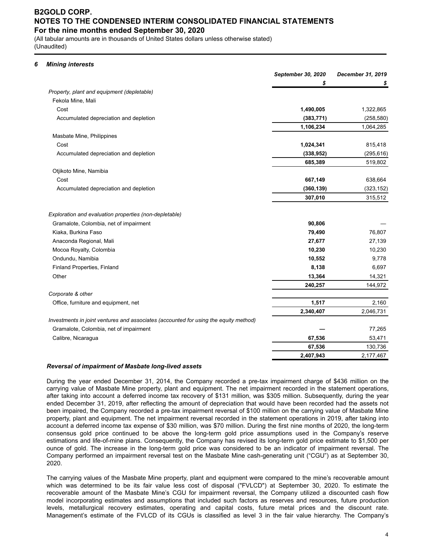(All tabular amounts are in thousands of United States dollars unless otherwise stated) (Unaudited)

#### *6 Mining interests*

|                                                                                      | September 30, 2020 | December 31, 2019 |
|--------------------------------------------------------------------------------------|--------------------|-------------------|
|                                                                                      | \$                 |                   |
| Property, plant and equipment (depletable)                                           |                    |                   |
| Fekola Mine, Mali                                                                    |                    |                   |
| Cost                                                                                 | 1,490,005          | 1,322,865         |
| Accumulated depreciation and depletion                                               | (383, 771)         | (258, 580)        |
|                                                                                      | 1,106,234          | 1,064,285         |
| Masbate Mine, Philippines                                                            |                    |                   |
| Cost                                                                                 | 1,024,341          | 815,418           |
| Accumulated depreciation and depletion                                               | (338, 952)         | (295, 616)        |
|                                                                                      | 685,389            | 519,802           |
| Otjikoto Mine, Namibia                                                               |                    |                   |
| Cost                                                                                 | 667,149            | 638,664           |
| Accumulated depreciation and depletion                                               | (360, 139)         | (323, 152)        |
|                                                                                      | 307,010            | 315,512           |
| Exploration and evaluation properties (non-depletable)                               |                    |                   |
| Gramalote, Colombia, net of impairment                                               | 90,806             |                   |
| Kiaka, Burkina Faso                                                                  | 79,490             | 76,807            |
| Anaconda Regional, Mali                                                              | 27,677             | 27,139            |
| Mocoa Royalty, Colombia                                                              | 10,230             | 10,230            |
| Ondundu, Namibia                                                                     | 10,552             | 9,778             |
| Finland Properties, Finland                                                          | 8,138              | 6,697             |
| Other                                                                                | 13,364             | 14,321            |
|                                                                                      | 240,257            | 144,972           |
| Corporate & other                                                                    |                    |                   |
| Office, furniture and equipment, net                                                 | 1,517              | 2,160             |
|                                                                                      | 2,340,407          | 2,046,731         |
| Investments in joint ventures and associates (accounted for using the equity method) |                    |                   |
| Gramalote, Colombia, net of impairment                                               |                    | 77,265            |
| Calibre, Nicaragua                                                                   | 67,536             | 53,471            |
|                                                                                      | 67,536             | 130,736           |
|                                                                                      | 2,407,943          | 2,177,467         |

#### *Reversal of impairment of Masbate long-lived assets*

During the year ended December 31, 2014, the Company recorded a pre-tax impairment charge of \$436 million on the carrying value of Masbate Mine property, plant and equipment. The net impairment recorded in the statement operations, after taking into account a deferred income tax recovery of \$131 million, was \$305 million. Subsequently, during the year ended December 31, 2019, after reflecting the amount of depreciation that would have been recorded had the assets not been impaired, the Company recorded a pre-tax impairment reversal of \$100 million on the carrying value of Masbate Mine property, plant and equipment. The net impairment reversal recorded in the statement operations in 2019, after taking into account a deferred income tax expense of \$30 million, was \$70 million. During the first nine months of 2020, the long-term consensus gold price continued to be above the long-term gold price assumptions used in the Company's reserve estimations and life-of-mine plans. Consequently, the Company has revised its long-term gold price estimate to \$1,500 per ounce of gold. The increase in the long-term gold price was considered to be an indicator of impairment reversal. The Company performed an impairment reversal test on the Masbate Mine cash-generating unit ("CGU") as at September 30, 2020.

The carrying values of the Masbate Mine property, plant and equipment were compared to the mine's recoverable amount which was determined to be its fair value less cost of disposal ("FVLCD") at September 30, 2020. To estimate the recoverable amount of the Masbate Mine's CGU for impairment reversal, the Company utilized a discounted cash flow model incorporating estimates and assumptions that included such factors as reserves and resources, future production levels, metallurgical recovery estimates, operating and capital costs, future metal prices and the discount rate. Management's estimate of the FVLCD of its CGUs is classified as level 3 in the fair value hierarchy. The Company's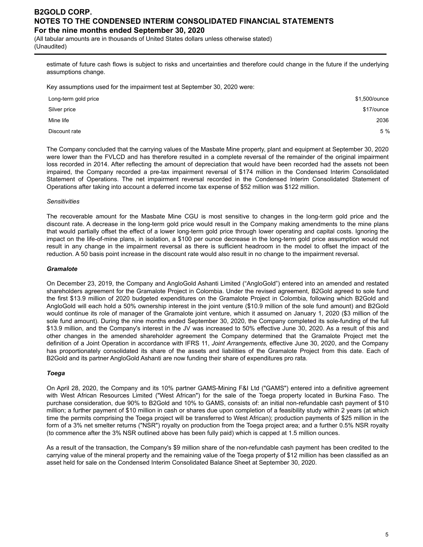(All tabular amounts are in thousands of United States dollars unless otherwise stated) (Unaudited)

estimate of future cash flows is subject to risks and uncertainties and therefore could change in the future if the underlying assumptions change.

Key assumptions used for the impairment test at September 30, 2020 were:

| Long-term gold price | \$1,500/ounce |
|----------------------|---------------|
| Silver price         | \$17/ounce    |
| Mine life            | 2036          |
| Discount rate        | 5 %           |

The Company concluded that the carrying values of the Masbate Mine property, plant and equipment at September 30, 2020 were lower than the FVLCD and has therefore resulted in a complete reversal of the remainder of the original impairment loss recorded in 2014. After reflecting the amount of depreciation that would have been recorded had the assets not been impaired, the Company recorded a pre-tax impairment reversal of \$174 million in the Condensed Interim Consolidated Statement of Operations. The net impairment reversal recorded in the Condensed Interim Consolidated Statement of Operations after taking into account a deferred income tax expense of \$52 million was \$122 million.

#### *Sensitivities*

The recoverable amount for the Masbate Mine CGU is most sensitive to changes in the long-term gold price and the discount rate. A decrease in the long-term gold price would result in the Company making amendments to the mine plans that would partially offset the effect of a lower long-term gold price through lower operating and capital costs. Ignoring the impact on the life-of-mine plans, in isolation, a \$100 per ounce decrease in the long-term gold price assumption would not result in any change in the impairment reversal as there is sufficient headroom in the model to offset the impact of the reduction. A 50 basis point increase in the discount rate would also result in no change to the impairment reversal.

#### *Gramalote*

On December 23, 2019, the Company and AngloGold Ashanti Limited ("AngloGold") entered into an amended and restated shareholders agreement for the Gramalote Project in Colombia. Under the revised agreement, B2Gold agreed to sole fund the first \$13.9 million of 2020 budgeted expenditures on the Gramalote Project in Colombia, following which B2Gold and AngloGold will each hold a 50% ownership interest in the joint venture (\$10.9 million of the sole fund amount) and B2Gold would continue its role of manager of the Gramalote joint venture, which it assumed on January 1, 2020 (\$3 million of the sole fund amount). During the nine months ended September 30, 2020, the Company completed its sole-funding of the full \$13.9 million, and the Company's interest in the JV was increased to 50% effective June 30, 2020. As a result of this and other changes in the amended shareholder agreement the Company determined that the Gramalote Project met the definition of a Joint Operation in accordance with IFRS 11, *Joint Arrangements,* effective June 30, 2020, and the Company has proportionately consolidated its share of the assets and liabilities of the Gramalote Project from this date. Each of B2Gold and its partner AngloGold Ashanti are now funding their share of expenditures pro rata.

#### *Toega*

On April 28, 2020, the Company and its 10% partner GAMS-Mining F&I Ltd ("GAMS") entered into a definitive agreement with West African Resources Limited ("West African") for the sale of the Toega property located in Burkina Faso. The purchase consideration, due 90% to B2Gold and 10% to GAMS, consists of: an initial non-refundable cash payment of \$10 million; a further payment of \$10 million in cash or shares due upon completion of a feasibility study within 2 years (at which time the permits comprising the Toega project will be transferred to West African); production payments of \$25 million in the form of a 3% net smelter returns ("NSR") royalty on production from the Toega project area; and a further 0.5% NSR royalty (to commence after the 3% NSR outlined above has been fully paid) which is capped at 1.5 million ounces.

As a result of the transaction, the Company's \$9 million share of the non-refundable cash payment has been credited to the carrying value of the mineral property and the remaining value of the Toega property of \$12 million has been classified as an asset held for sale on the Condensed Interim Consolidated Balance Sheet at September 30, 2020.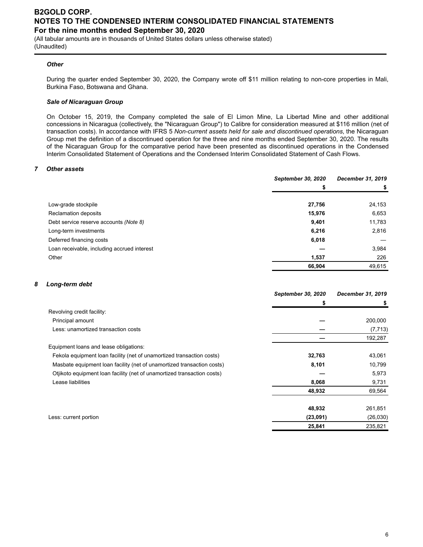(All tabular amounts are in thousands of United States dollars unless otherwise stated) (Unaudited)

#### *Other*

During the quarter ended September 30, 2020, the Company wrote off \$11 million relating to non-core properties in Mali, Burkina Faso, Botswana and Ghana.

#### *Sale of Nicaraguan Group*

On October 15, 2019, the Company completed the sale of El Limon Mine, La Libertad Mine and other additional concessions in Nicaragua (collectively, the "Nicaraguan Group") to Calibre for consideration measured at \$116 million (net of transaction costs). In accordance with IFRS 5 *Non-current assets held for sale and discontinued operations*, the Nicaraguan Group met the definition of a discontinued operation for the three and nine months ended September 30, 2020. The results of the Nicaraguan Group for the comparative period have been presented as discontinued operations in the Condensed Interim Consolidated Statement of Operations and the Condensed Interim Consolidated Statement of Cash Flows.

## *7 Other assets*

|                                             | September 30, 2020 | December 31, 2019 |
|---------------------------------------------|--------------------|-------------------|
|                                             | S                  | S                 |
|                                             |                    |                   |
| Low-grade stockpile                         | 27,756             | 24,153            |
| Reclamation deposits                        | 15,976             | 6,653             |
| Debt service reserve accounts (Note 8)      | 9,401              | 11,783            |
| Long-term investments                       | 6,216              | 2,816             |
| Deferred financing costs                    | 6,018              |                   |
| Loan receivable, including accrued interest |                    | 3,984             |
| Other                                       | 1,537              | 226               |
|                                             | 66,904             | 49,615            |

#### *8 Long-term debt*

|                                                                         | September 30, 2020 | December 31, 2019 |
|-------------------------------------------------------------------------|--------------------|-------------------|
|                                                                         | 5                  |                   |
| Revolving credit facility:                                              |                    |                   |
| Principal amount                                                        |                    | 200,000           |
| Less: unamortized transaction costs                                     |                    | (7, 713)          |
|                                                                         |                    | 192,287           |
| Equipment loans and lease obligations:                                  |                    |                   |
| Fekola equipment loan facility (net of unamortized transaction costs)   | 32,763             | 43,061            |
| Masbate equipment loan facility (net of unamortized transaction costs)  | 8,101              | 10,799            |
| Otjikoto equipment loan facility (net of unamortized transaction costs) |                    | 5,973             |
| Lease liabilities                                                       | 8,068              | 9,731             |
|                                                                         | 48,932             | 69,564            |
|                                                                         |                    |                   |
|                                                                         | 48,932             | 261,851           |
| Less: current portion                                                   | (23,091)           | (26,030)          |
|                                                                         | 25,841             | 235,821           |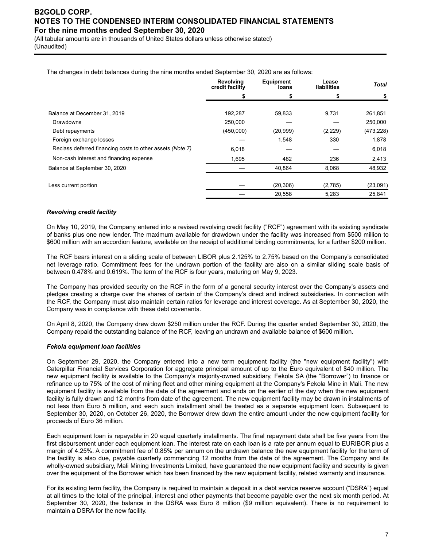(All tabular amounts are in thousands of United States dollars unless otherwise stated) (Unaudited)

The changes in debt balances during the nine months ended September 30, 2020 are as follows:

|                                                           | Revolving<br>credit facility | <b>Equipment</b><br>loans | Lease<br>liabilities | <b>Total</b> |
|-----------------------------------------------------------|------------------------------|---------------------------|----------------------|--------------|
|                                                           |                              |                           |                      | S            |
| Balance at December 31, 2019                              | 192,287                      | 59,833                    | 9,731                | 261,851      |
|                                                           |                              |                           |                      |              |
| <b>Drawdowns</b>                                          | 250,000                      |                           |                      | 250,000      |
| Debt repayments                                           | (450,000)                    | (20, 999)                 | (2,229)              | (473, 228)   |
| Foreign exchange losses                                   |                              | 1,548                     | 330                  | 1,878        |
| Reclass deferred financing costs to other assets (Note 7) | 6,018                        |                           |                      | 6,018        |
| Non-cash interest and financing expense                   | 1,695                        | 482                       | 236                  | 2,413        |
| Balance at September 30, 2020                             |                              | 40,864                    | 8,068                | 48,932       |
|                                                           |                              |                           |                      |              |
| Less current portion                                      |                              | (20, 306)                 | (2,785)              | (23,091)     |
|                                                           |                              | 20,558                    | 5,283                | 25,841       |

#### *Revolving credit facility*

On May 10, 2019, the Company entered into a revised revolving credit facility ("RCF") agreement with its existing syndicate of banks plus one new lender. The maximum available for drawdown under the facility was increased from \$500 million to \$600 million with an accordion feature, available on the receipt of additional binding commitments, for a further \$200 million.

The RCF bears interest on a sliding scale of between LIBOR plus 2.125% to 2.75% based on the Company's consolidated net leverage ratio. Commitment fees for the undrawn portion of the facility are also on a similar sliding scale basis of between 0.478% and 0.619%. The term of the RCF is four years, maturing on May 9, 2023.

The Company has provided security on the RCF in the form of a general security interest over the Company's assets and pledges creating a charge over the shares of certain of the Company's direct and indirect subsidiaries. In connection with the RCF, the Company must also maintain certain ratios for leverage and interest coverage. As at September 30, 2020, the Company was in compliance with these debt covenants.

On April 8, 2020, the Company drew down \$250 million under the RCF. During the quarter ended September 30, 2020, the Company repaid the outstanding balance of the RCF, leaving an undrawn and available balance of \$600 million.

## *Fekola equipment loan facilities*

On September 29, 2020, the Company entered into a new term equipment facility (the "new equipment facility") with Caterpillar Financial Services Corporation for aggregate principal amount of up to the Euro equivalent of \$40 million. The new equipment facility is available to the Company's majority-owned subsidiary, Fekola SA (the "Borrower") to finance or refinance up to 75% of the cost of mining fleet and other mining equipment at the Company's Fekola Mine in Mali. The new equipment facility is available from the date of the agreement and ends on the earlier of the day when the new equipment facility is fully drawn and 12 months from date of the agreement. The new equipment facility may be drawn in installments of not less than Euro 5 million, and each such installment shall be treated as a separate equipment loan. Subsequent to September 30, 2020, on October 26, 2020, the Borrower drew down the entire amount under the new equipment facility for proceeds of Euro 36 million.

Each equipment loan is repayable in 20 equal quarterly installments. The final repayment date shall be five years from the first disbursement under each equipment loan. The interest rate on each loan is a rate per annum equal to EURIBOR plus a margin of 4.25%. A commitment fee of 0.85% per annum on the undrawn balance the new equipment facility for the term of the facility is also due, payable quarterly commencing 12 months from the date of the agreement. The Company and its wholly-owned subsidiary, Mali Mining Investments Limited, have guaranteed the new equipment facility and security is given over the equipment of the Borrower which has been financed by the new equipment facility, related warranty and insurance.

For its existing term facility, the Company is required to maintain a deposit in a debt service reserve account ("DSRA") equal at all times to the total of the principal, interest and other payments that become payable over the next six month period. At September 30, 2020, the balance in the DSRA was Euro 8 million (\$9 million equivalent). There is no requirement to maintain a DSRA for the new facility.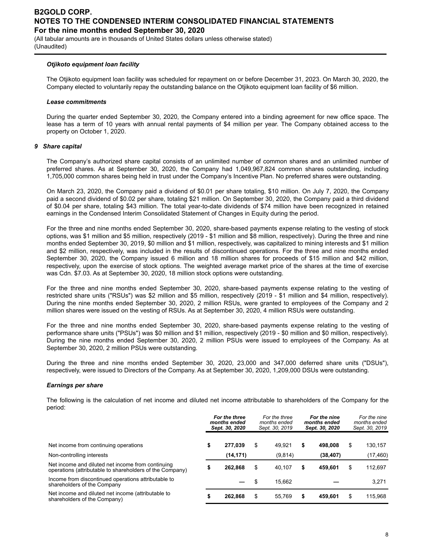(All tabular amounts are in thousands of United States dollars unless otherwise stated) (Unaudited)

#### *Otjikoto equipment loan facility*

The Otjikoto equipment loan facility was scheduled for repayment on or before December 31, 2023. On March 30, 2020, the Company elected to voluntarily repay the outstanding balance on the Otjikoto equipment loan facility of \$6 million.

#### *Lease commitments*

During the quarter ended September 30, 2020, the Company entered into a binding agreement for new office space. The lease has a term of 10 years with annual rental payments of \$4 million per year. The Company obtained access to the property on October 1, 2020.

#### *9 Share capital*

The Company's authorized share capital consists of an unlimited number of common shares and an unlimited number of preferred shares. As at September 30, 2020, the Company had 1,049,967,824 common shares outstanding, including 1,705,000 common shares being held in trust under the Company's Incentive Plan. No preferred shares were outstanding.

On March 23, 2020, the Company paid a dividend of \$0.01 per share totaling, \$10 million. On July 7, 2020, the Company paid a second dividend of \$0.02 per share, totaling \$21 million. On September 30, 2020, the Company paid a third dividend of \$0.04 per share, totaling \$43 million. The total year-to-date dividends of \$74 million have been recognized in retained earnings in the Condensed Interim Consolidated Statement of Changes in Equity during the period.

For the three and nine months ended September 30, 2020, share-based payments expense relating to the vesting of stock options, was \$1 million and \$5 million, respectively (2019 - \$1 million and \$8 million, respectively). During the three and nine months ended September 30, 2019, \$0 million and \$1 million, respectively, was capitalized to mining interests and \$1 million and \$2 million, respectively, was included in the results of discontinued operations. For the three and nine months ended September 30, 2020, the Company issued 6 million and 18 million shares for proceeds of \$15 million and \$42 million, respectively, upon the exercise of stock options. The weighted average market price of the shares at the time of exercise was Cdn. \$7.03. As at September 30, 2020, 18 million stock options were outstanding.

For the three and nine months ended September 30, 2020, share-based payments expense relating to the vesting of restricted share units ("RSUs") was \$2 million and \$5 million, respectively (2019 - \$1 million and \$4 million, respectively). During the nine months ended September 30, 2020, 2 million RSUs, were granted to employees of the Company and 2 million shares were issued on the vesting of RSUs. As at September 30, 2020, 4 million RSUs were outstanding.

For the three and nine months ended September 30, 2020, share-based payments expense relating to the vesting of performance share units ("PSUs") was \$0 million and \$1 million, respectively (2019 - \$0 million and \$0 million, respectively). During the nine months ended September 30, 2020, 2 million PSUs were issued to employees of the Company. As at September 30, 2020, 2 million PSUs were outstanding.

During the three and nine months ended September 30, 2020, 23,000 and 347,000 deferred share units ("DSUs"), respectively, were issued to Directors of the Company. As at September 30, 2020, 1,209,000 DSUs were outstanding.

#### *Earnings per share*

The following is the calculation of net income and diluted net income attributable to shareholders of the Company for the period:

|                                                                                                               | For the three<br>months ended<br>Sept. 30, 2020 |           | For the three<br>months ended<br>Sept. 30, 2019 |         | For the nine<br>months ended<br>Sept. 30, 2020 |           | For the nine<br>months ended<br>Sept. 30, 2019 |           |
|---------------------------------------------------------------------------------------------------------------|-------------------------------------------------|-----------|-------------------------------------------------|---------|------------------------------------------------|-----------|------------------------------------------------|-----------|
| Net income from continuing operations                                                                         | \$                                              | 277.039   | \$                                              | 49.921  | \$                                             | 498.008   | \$                                             | 130,157   |
| Non-controlling interests                                                                                     |                                                 | (14, 171) |                                                 | (9,814) |                                                | (38, 407) |                                                | (17, 460) |
| Net income and diluted net income from continuing<br>operations (attributable to shareholders of the Company) |                                                 | 262.868   | \$                                              | 40.107  | \$                                             | 459.601   | \$                                             | 112,697   |
| Income from discontinued operations attributable to<br>shareholders of the Company                            |                                                 |           | \$                                              | 15.662  |                                                |           |                                                | 3,271     |
| Net income and diluted net income (attributable to<br>shareholders of the Company)                            |                                                 | 262.868   | \$                                              | 55.769  | \$                                             | 459.601   | \$                                             | 115,968   |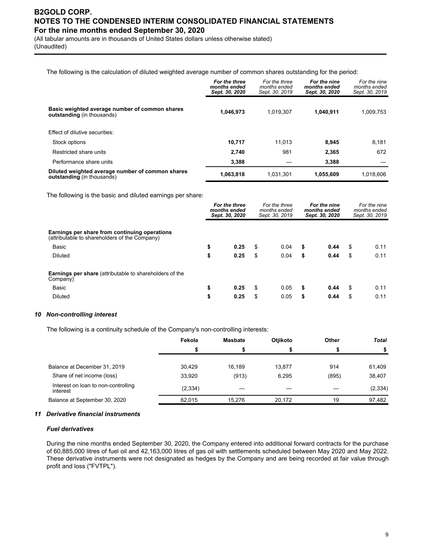(All tabular amounts are in thousands of United States dollars unless otherwise stated) (Unaudited)

The following is the calculation of diluted weighted average number of common shares outstanding for the period:

|                                                                                       | For the three<br>months ended<br>Sept. 30, 2020 | For the three<br>months ended<br>Sept. 30, 2019 | For the nine<br>months ended<br>Sept. 30, 2020 | For the nine<br>months ended<br>Sept. 30, 2019 |
|---------------------------------------------------------------------------------------|-------------------------------------------------|-------------------------------------------------|------------------------------------------------|------------------------------------------------|
| Basic weighted average number of common shares<br><b>outstanding</b> (in thousands)   | 1.046.973                                       | 1.019.307                                       | 1.040.911                                      | 1,009,753                                      |
| Effect of dilutive securities:                                                        |                                                 |                                                 |                                                |                                                |
| Stock options                                                                         | 10.717                                          | 11.013                                          | 8.945                                          | 8,181                                          |
| Restricted share units                                                                | 2.740                                           | 981                                             | 2,365                                          | 672                                            |
| Performance share units                                                               | 3,388                                           |                                                 | 3.388                                          |                                                |
| Diluted weighted average number of common shares<br><b>outstanding</b> (in thousands) | 1,063,818                                       | 1.031.301                                       | 1.055.609                                      | 1.018.606                                      |

The following is the basic and diluted earnings per share:

|                                                                                                | For the three<br>months ended<br>Sept. 30, 2020 |      | For the three<br>months ended<br>months ended<br>Sept. 30, 2019<br>Sept. 30, 2020 |      | For the nine | For the nine<br>months ended<br>Sept. 30, 2019 |    |      |
|------------------------------------------------------------------------------------------------|-------------------------------------------------|------|-----------------------------------------------------------------------------------|------|--------------|------------------------------------------------|----|------|
| Earnings per share from continuing operations<br>(attributable to shareholders of the Company) |                                                 |      |                                                                                   |      |              |                                                |    |      |
| Basic                                                                                          | \$                                              | 0.25 | \$                                                                                | 0.04 | \$           | 0.44                                           | S  | 0.11 |
| <b>Diluted</b>                                                                                 | \$                                              | 0.25 | \$                                                                                | 0.04 | \$           | 0.44                                           | \$ | 0.11 |
| <b>Earnings per share</b> (attributable to shareholders of the<br>Company)                     |                                                 |      |                                                                                   |      |              |                                                |    |      |
| Basic                                                                                          | \$                                              | 0.25 | \$                                                                                | 0.05 | \$           | 0.44                                           | \$ | 0.11 |
| <b>Diluted</b>                                                                                 | \$                                              | 0.25 | \$                                                                                | 0.05 | \$           | 0.44                                           | S  | 0.11 |

#### *10 Non-controlling interest*

The following is a continuity schedule of the Company's non-controlling interests:

|                                                 | Fekola   | <b>Masbate</b> | <b>Otiikoto</b> | Other | <b>Total</b> |
|-------------------------------------------------|----------|----------------|-----------------|-------|--------------|
|                                                 |          |                |                 |       |              |
| Balance at December 31, 2019                    | 30.429   | 16.189         | 13,877          | 914   | 61,409       |
| Share of net income (loss)                      | 33,920   | (913)          | 6,295           | (895) | 38,407       |
| Interest on loan to non-controlling<br>interest | (2, 334) |                |                 |       | (2, 334)     |
| Balance at September 30, 2020                   | 62.015   | 15.276         | 20.172          | 19    | 97,482       |

#### *11 Derivative financial instruments*

#### *Fuel derivatives*

During the nine months ended September 30, 2020, the Company entered into additional forward contracts for the purchase of 60,885,000 litres of fuel oil and 42,163,000 litres of gas oil with settlements scheduled between May 2020 and May 2022. These derivative instruments were not designated as hedges by the Company and are being recorded at fair value through profit and loss ("FVTPL").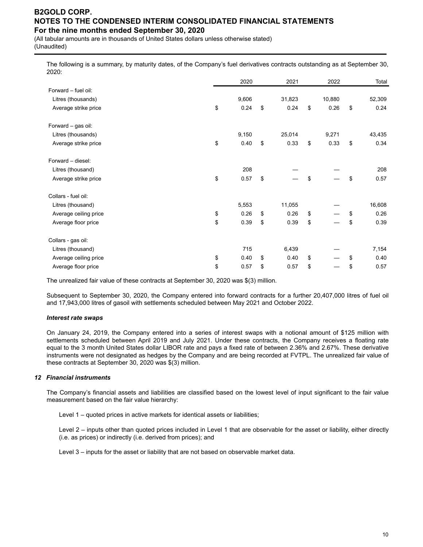(All tabular amounts are in thousands of United States dollars unless otherwise stated) (Unaudited)

The following is a summary, by maturity dates, of the Company's fuel derivatives contracts outstanding as at September 30, 2020:

|                       | 2020       | 2021       | 2022       | Total      |
|-----------------------|------------|------------|------------|------------|
| Forward - fuel oil:   |            |            |            |            |
| Litres (thousands)    | 9,606      | 31,823     | 10,880     | 52,309     |
| Average strike price  | \$<br>0.24 | \$<br>0.24 | \$<br>0.26 | \$<br>0.24 |
| Forward - gas oil:    |            |            |            |            |
| Litres (thousands)    | 9,150      | 25,014     | 9,271      | 43,435     |
| Average strike price  | \$<br>0.40 | \$<br>0.33 | \$<br>0.33 | \$<br>0.34 |
| Forward - diesel:     |            |            |            |            |
| Litres (thousand)     | 208        |            |            | 208        |
| Average strike price  | \$<br>0.57 | \$         | \$         | \$<br>0.57 |
| Collars - fuel oil:   |            |            |            |            |
| Litres (thousand)     | 5,553      | 11,055     |            | 16,608     |
| Average ceiling price | \$<br>0.26 | \$<br>0.26 | \$         | \$<br>0.26 |
| Average floor price   | \$<br>0.39 | \$<br>0.39 | \$         | \$<br>0.39 |
| Collars - gas oil:    |            |            |            |            |
| Litres (thousand)     | 715        | 6,439      |            | 7,154      |
| Average ceiling price | \$<br>0.40 | \$<br>0.40 | \$         | \$<br>0.40 |
| Average floor price   | \$<br>0.57 | \$<br>0.57 | \$         | \$<br>0.57 |

The unrealized fair value of these contracts at September 30, 2020 was \$(3) million.

Subsequent to September 30, 2020, the Company entered into forward contracts for a further 20,407,000 litres of fuel oil and 17,943,000 litres of gasoil with settlements scheduled between May 2021 and October 2022.

#### *Interest rate swaps*

On January 24, 2019, the Company entered into a series of interest swaps with a notional amount of \$125 million with settlements scheduled between April 2019 and July 2021. Under these contracts, the Company receives a floating rate equal to the 3 month United States dollar LIBOR rate and pays a fixed rate of between 2.36% and 2.67%. These derivative instruments were not designated as hedges by the Company and are being recorded at FVTPL. The unrealized fair value of these contracts at September 30, 2020 was \$(3) million.

#### *12 Financial instruments*

The Company's financial assets and liabilities are classified based on the lowest level of input significant to the fair value measurement based on the fair value hierarchy:

Level 1 – quoted prices in active markets for identical assets or liabilities;

Level 2 – inputs other than quoted prices included in Level 1 that are observable for the asset or liability, either directly (i.e. as prices) or indirectly (i.e. derived from prices); and

Level 3 – inputs for the asset or liability that are not based on observable market data.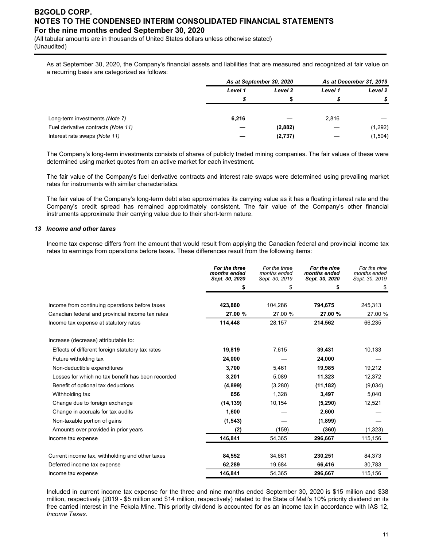(All tabular amounts are in thousands of United States dollars unless otherwise stated) (Unaudited)

As at September 30, 2020, the Company's financial assets and liabilities that are measured and recognized at fair value on a recurring basis are categorized as follows:

|                                     | As at September 30, 2020 |         | As at December 31, 2019 |         |  |
|-------------------------------------|--------------------------|---------|-------------------------|---------|--|
|                                     | Level 1                  |         | Level 1                 | Level 2 |  |
|                                     |                          |         |                         |         |  |
| Long-term investments (Note 7)      | 6,216                    |         | 2,816                   |         |  |
| Fuel derivative contracts (Note 11) |                          | (2,882) |                         | (1,292) |  |
| Interest rate swaps (Note 11)       |                          | (2,737) |                         | (1,504) |  |

The Company's long-term investments consists of shares of publicly traded mining companies. The fair values of these were determined using market quotes from an active market for each investment.

The fair value of the Company's fuel derivative contracts and interest rate swaps were determined using prevailing market rates for instruments with similar characteristics.

The fair value of the Company's long-term debt also approximates its carrying value as it has a floating interest rate and the Company's credit spread has remained approximately consistent. The fair value of the Company's other financial instruments approximate their carrying value due to their short-term nature.

#### *13 Income and other taxes*

Income tax expense differs from the amount that would result from applying the Canadian federal and provincial income tax rates to earnings from operations before taxes. These differences result from the following items:

|                                                   | For the three<br>months ended<br>Sept. 30, 2020 | For the three<br>months ended<br>Sept. 30, 2019 | For the nine<br>months ended<br>Sept. 30, 2020 | For the nine<br>months ended<br>Sept. 30, 2019 |
|---------------------------------------------------|-------------------------------------------------|-------------------------------------------------|------------------------------------------------|------------------------------------------------|
|                                                   | \$                                              | \$                                              | S                                              | \$                                             |
| Income from continuing operations before taxes    | 423,880                                         | 104,286                                         | 794,675                                        | 245,313                                        |
| Canadian federal and provincial income tax rates  | 27.00 %                                         | 27.00 %                                         | 27.00 %                                        | 27.00 %                                        |
| Income tax expense at statutory rates             | 114,448                                         | 28,157                                          | 214,562                                        | 66,235                                         |
| Increase (decrease) attributable to:              |                                                 |                                                 |                                                |                                                |
| Effects of different foreign statutory tax rates  | 19,819                                          | 7,615                                           | 39,431                                         | 10,133                                         |
| Future witholding tax                             | 24,000                                          |                                                 | 24,000                                         |                                                |
| Non-deductible expenditures                       | 3,700                                           | 5,461                                           | 19,985                                         | 19,212                                         |
| Losses for which no tax benefit has been recorded | 3,201                                           | 5,089                                           | 11,323                                         | 12,372                                         |
| Benefit of optional tax deductions                | (4,899)                                         | (3,280)                                         | (11, 182)                                      | (9,034)                                        |
| Withholding tax                                   | 656                                             | 1,328                                           | 3,497                                          | 5,040                                          |
| Change due to foreign exchange                    | (14, 139)                                       | 10,154                                          | (5, 290)                                       | 12,521                                         |
| Change in accruals for tax audits                 | 1,600                                           |                                                 | 2,600                                          |                                                |
| Non-taxable portion of gains                      | (1, 543)                                        |                                                 | (1,899)                                        |                                                |
| Amounts over provided in prior years              | (2)                                             | (159)                                           | (360)                                          | (1, 323)                                       |
| Income tax expense                                | 146,841                                         | 54,365                                          | 296,667                                        | 115,156                                        |
| Current income tax, withholding and other taxes   | 84,552                                          | 34,681                                          | 230,251                                        | 84,373                                         |
| Deferred income tax expense                       | 62,289                                          | 19,684                                          | 66,416                                         | 30,783                                         |
| Income tax expense                                | 146,841                                         | 54,365                                          | 296,667                                        | 115,156                                        |

Included in current income tax expense for the three and nine months ended September 30, 2020 is \$15 million and \$38 million, respectively (2019 - \$5 million and \$14 million, respectively) related to the State of Mali's 10% priority dividend on its free carried interest in the Fekola Mine. This priority dividend is accounted for as an income tax in accordance with IAS 12, *Income Taxes.*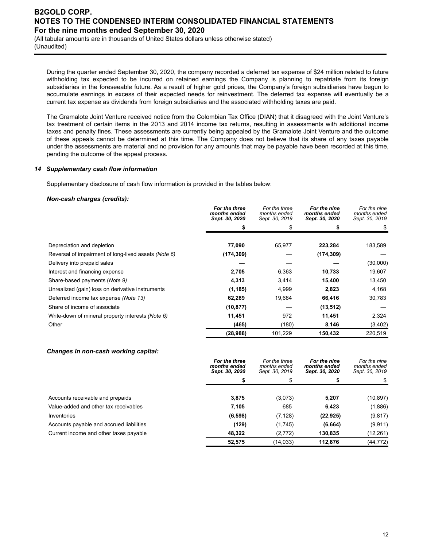(All tabular amounts are in thousands of United States dollars unless otherwise stated) (Unaudited)

During the quarter ended September 30, 2020, the company recorded a deferred tax expense of \$24 million related to future withholding tax expected to be incurred on retained earnings the Company is planning to repatriate from its foreign subsidiaries in the foreseeable future. As a result of higher gold prices, the Company's foreign subsidiaries have begun to accumulate earnings in excess of their expected needs for reinvestment. The deferred tax expense will eventually be a current tax expense as dividends from foreign subsidiaries and the associated withholding taxes are paid.

The Gramalote Joint Venture received notice from the Colombian Tax Office (DIAN) that it disagreed with the Joint Venture's tax treatment of certain items in the 2013 and 2014 income tax returns, resulting in assessments with additional income taxes and penalty fines. These assessments are currently being appealed by the Gramalote Joint Venture and the outcome of these appeals cannot be determined at this time. The Company does not believe that its share of any taxes payable under the assessments are material and no provision for any amounts that may be payable have been recorded at this time, pending the outcome of the appeal process.

#### *14 Supplementary cash flow information*

Supplementary disclosure of cash flow information is provided in the tables below:

#### *Non-cash charges (credits):*

|                                                      | For the three<br>months ended<br>Sept. 30, 2020 | For the three<br>months ended<br>Sept. 30, 2019 | For the nine<br>months ended<br>Sept. 30, 2020 | For the nine<br>months ended<br>Sept. 30, 2019 |
|------------------------------------------------------|-------------------------------------------------|-------------------------------------------------|------------------------------------------------|------------------------------------------------|
|                                                      | \$                                              | \$                                              |                                                |                                                |
|                                                      |                                                 |                                                 |                                                |                                                |
| Depreciation and depletion                           | 77,090                                          | 65,977                                          | 223,284                                        | 183,589                                        |
| Reversal of impairment of long-lived assets (Note 6) | (174, 309)                                      |                                                 | (174, 309)                                     |                                                |
| Delivery into prepaid sales                          |                                                 |                                                 |                                                | (30,000)                                       |
| Interest and financing expense                       | 2,705                                           | 6,363                                           | 10,733                                         | 19,607                                         |
| Share-based payments (Note 9)                        | 4,313                                           | 3,414                                           | 15,400                                         | 13,450                                         |
| Unrealized (gain) loss on derivative instruments     | (1, 185)                                        | 4,999                                           | 2,823                                          | 4,168                                          |
| Deferred income tax expense (Note 13)                | 62,289                                          | 19,684                                          | 66,416                                         | 30,783                                         |
| Share of income of associate                         | (10, 877)                                       |                                                 | (13, 512)                                      |                                                |
| Write-down of mineral property interests (Note 6)    | 11,451                                          | 972                                             | 11,451                                         | 2,324                                          |
| Other                                                | (465)                                           | (180)                                           | 8,146                                          | (3,402)                                        |
|                                                      | (28, 988)                                       | 101,229                                         | 150,432                                        | 220,519                                        |

#### *Changes in non-cash working capital:*

|                                          | For the three<br>months ended<br>Sept. 30, 2020 | For the three<br>months ended<br>Sept. 30, 2019 |           | For the nine<br>months ended<br>Sept. 30, 2019 |
|------------------------------------------|-------------------------------------------------|-------------------------------------------------|-----------|------------------------------------------------|
|                                          |                                                 |                                                 |           |                                                |
| Accounts receivable and prepaids         | 3,875                                           | (3,073)                                         | 5,207     | (10, 897)                                      |
| Value-added and other tax receivables    | 7,105                                           | 685                                             | 6,423     | (1,886)                                        |
| Inventories                              | (6, 598)                                        | (7, 128)                                        | (22, 925) | (9, 817)                                       |
| Accounts payable and accrued liabilities | (129)                                           | (1,745)                                         | (6,664)   | (9,911)                                        |
| Current income and other taxes payable   | 48.322                                          | (2, 772)                                        | 130,835   | (12,261)                                       |
|                                          | 52.575                                          | (14, 033)                                       | 112.876   | (44,772)                                       |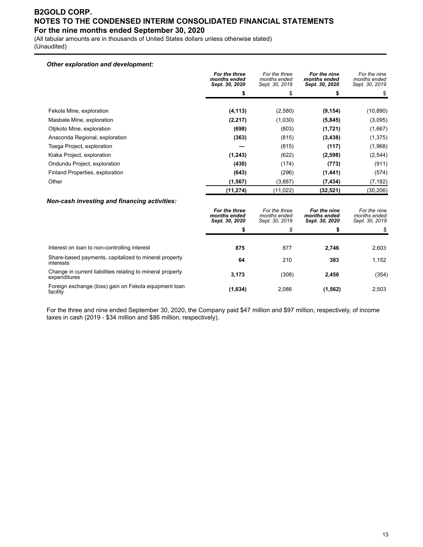(All tabular amounts are in thousands of United States dollars unless otherwise stated) (Unaudited)

## *Other exploration and development:*

|                                 | For the three<br>months ended<br>Sept. 30, 2020 | For the three<br>months ended<br>Sept. 30, 2019 | For the nine<br>months ended<br>Sept. 30, 2020 | For the nine<br>months ended<br>Sept. 30, 2019 |
|---------------------------------|-------------------------------------------------|-------------------------------------------------|------------------------------------------------|------------------------------------------------|
|                                 | \$                                              | \$                                              | \$                                             |                                                |
| Fekola Mine, exploration        | (4, 113)                                        | (2,580)                                         | (9, 154)                                       | (10, 890)                                      |
| Masbate Mine, exploration       | (2, 217)                                        | (1,030)                                         | (5,845)                                        | (3,095)                                        |
| Otiikoto Mine, exploration      | (698)                                           | (803)                                           | (1,721)                                        | (1,667)                                        |
| Anaconda Regional, exploration  | (363)                                           | (815)                                           | (3, 438)                                       | (1, 375)                                       |
| Toega Project, exploration      |                                                 | (815)                                           | (117)                                          | (1,968)                                        |
| Kiaka Project, exploration      | (1, 243)                                        | (622)                                           | (2,598)                                        | (2, 544)                                       |
| Ondundu Project, exploration    | (430)                                           | (174)                                           | (773)                                          | (911)                                          |
| Finland Properties, exploration | (643)                                           | (296)                                           | (1,441)                                        | (574)                                          |
| Other                           | (1, 567)                                        | (3,887)                                         | (7, 434)                                       | (7, 182)                                       |
|                                 | (11, 274)                                       | (11, 022)                                       | (32, 521)                                      | (30, 206)                                      |

#### *Non-cash investing and financing activities:*

|                                                                            | For the three<br>months ended<br>Sept. 30, 2020 | For the three<br>months ended<br>months ended<br>Sept. 30, 2019 |          | For the nine<br>months ended<br>Sept. 30, 2019 |
|----------------------------------------------------------------------------|-------------------------------------------------|-----------------------------------------------------------------|----------|------------------------------------------------|
|                                                                            |                                                 | \$                                                              |          |                                                |
|                                                                            |                                                 |                                                                 |          |                                                |
| Interest on loan to non-controlling interest                               | 875                                             | 877                                                             | 2,746    | 2,603                                          |
| Share-based payments, capitalized to mineral property<br>interests         | 64                                              | 210                                                             | 383      | 1,152                                          |
| Change in current liabilities relating to mineral property<br>expenditures | 3,173                                           | (308)                                                           | 2,456    | (354)                                          |
| Foreign exchange (loss) gain on Fekola equipment loan<br>facility          | (1,634)                                         | 2,086                                                           | (1, 562) | 2,503                                          |

For the three and nine ended September 30, 2020, the Company paid \$47 million and \$97 million, respectively, of income taxes in cash (2019 - \$34 million and \$86 million, respectively).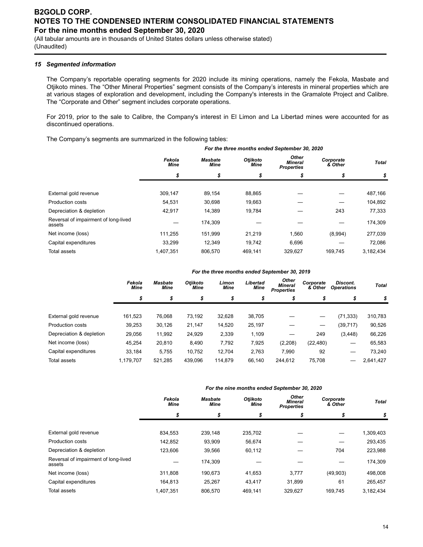(All tabular amounts are in thousands of United States dollars unless otherwise stated) (Unaudited)

#### *15 Segmented information*

The Company's reportable operating segments for 2020 include its mining operations, namely the Fekola, Masbate and Otjikoto mines. The "Other Mineral Properties" segment consists of the Company's interests in mineral properties which are at various stages of exploration and development, including the Company's interests in the Gramalote Project and Calibre. The "Corporate and Other" segment includes corporate operations.

For 2019, prior to the sale to Calibre, the Company's interest in El Limon and La Libertad mines were accounted for as discontinued operations.

The Company's segments are summarized in the following tables:

|                                                | Fekola<br><b>Mine</b> | <b>Masbate</b><br><b>Mine</b> | Otjikoto<br><b>Mine</b> | Other<br>Mineral<br><b>Properties</b> | Corporate<br>& Other | <b>Total</b> |
|------------------------------------------------|-----------------------|-------------------------------|-------------------------|---------------------------------------|----------------------|--------------|
|                                                | \$                    | \$                            | \$                      | \$                                    | \$                   | \$           |
|                                                |                       |                               |                         |                                       |                      |              |
| External gold revenue                          | 309.147               | 89.154                        | 88,865                  |                                       |                      | 487,166      |
| <b>Production costs</b>                        | 54,531                | 30,698                        | 19,663                  |                                       |                      | 104,892      |
| Depreciation & depletion                       | 42,917                | 14,389                        | 19,784                  |                                       | 243                  | 77,333       |
| Reversal of impairment of long-lived<br>assets |                       | 174,309                       |                         |                                       |                      | 174,309      |
| Net income (loss)                              | 111.255               | 151,999                       | 21,219                  | 1,560                                 | (8,994)              | 277,039      |
| Capital expenditures                           | 33.299                | 12.349                        | 19,742                  | 6,696                                 |                      | 72,086       |
| <b>Total assets</b>                            | 1.407.351             | 806.570                       | 469.141                 | 329.627                               | 169.745              | 3.182.434    |

|                          |                | For the three months ended September 30, 2019 |                  |               |                  |                                              |                      |                               |              |  |  |  |
|--------------------------|----------------|-----------------------------------------------|------------------|---------------|------------------|----------------------------------------------|----------------------|-------------------------------|--------------|--|--|--|
|                          | Fekola<br>Mine | <b>Masbate</b><br><b>Mine</b>                 | Otiikoto<br>Mine | Limon<br>Mine | Libertad<br>Mine | Other<br><b>Mineral</b><br><b>Properties</b> | Corporate<br>& Other | Discont.<br><b>Operations</b> | <b>Total</b> |  |  |  |
|                          | \$             | \$                                            | \$               | \$            | \$               | \$                                           | \$                   | \$                            | \$           |  |  |  |
|                          |                |                                               |                  |               |                  |                                              |                      |                               |              |  |  |  |
| External gold revenue    | 161.523        | 76.068                                        | 73,192           | 32.628        | 38.705           |                                              |                      | (71, 333)                     | 310,783      |  |  |  |
| <b>Production costs</b>  | 39,253         | 30,126                                        | 21.147           | 14,520        | 25,197           |                                              |                      | (39, 717)                     | 90,526       |  |  |  |
| Depreciation & depletion | 29,056         | 11,992                                        | 24,929           | 2,339         | 1,109            |                                              | 249                  | (3, 448)                      | 66,226       |  |  |  |
| Net income (loss)        | 45,254         | 20.810                                        | 8,490            | 7,792         | 7,925            | (2,208)                                      | (22, 480)            | --                            | 65,583       |  |  |  |
| Capital expenditures     | 33,184         | 5.755                                         | 10.752           | 12,704        | 2,763            | 7,990                                        | 92                   |                               | 73,240       |  |  |  |
| Total assets             | 1.179.707      | 521.285                                       | 439.096          | 114.879       | 66.140           | 244.612                                      | 75.708               |                               | 2,641,427    |  |  |  |

#### *For the nine months ended September 30, 2020*

*For the three months ended September 30, 2020*

|                                                | Fekola<br><b>Mine</b> | <b>Masbate</b><br><b>Mine</b> | Otjikoto<br><b>Mine</b> | Other<br><b>Mineral</b><br><b>Properties</b> | Corporate<br>& Other | <b>Total</b> |
|------------------------------------------------|-----------------------|-------------------------------|-------------------------|----------------------------------------------|----------------------|--------------|
|                                                | \$                    | \$                            | \$                      | \$                                           |                      | \$           |
|                                                |                       |                               |                         |                                              |                      |              |
| External gold revenue                          | 834,553               | 239.148                       | 235.702                 |                                              |                      | 1,309,403    |
| <b>Production costs</b>                        | 142.852               | 93,909                        | 56,674                  |                                              |                      | 293,435      |
| Depreciation & depletion                       | 123,606               | 39,566                        | 60,112                  |                                              | 704                  | 223,988      |
| Reversal of impairment of long-lived<br>assets |                       | 174.309                       |                         |                                              |                      | 174,309      |
| Net income (loss)                              | 311.808               | 190.673                       | 41,653                  | 3.777                                        | (49,903)             | 498,008      |
| Capital expenditures                           | 164,813               | 25.267                        | 43.417                  | 31.899                                       | 61                   | 265.457      |
| <b>Total assets</b>                            | 1.407.351             | 806.570                       | 469.141                 | 329.627                                      | 169.745              | 3,182,434    |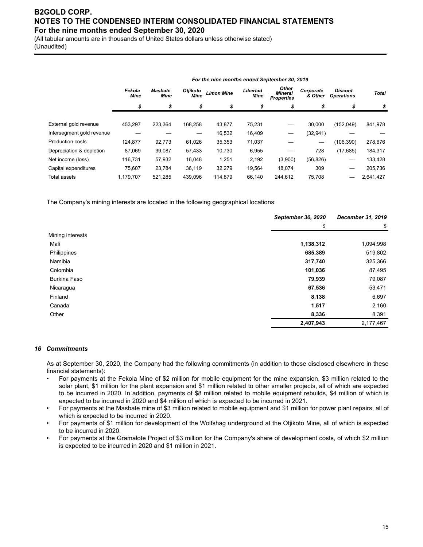(All tabular amounts are in thousands of United States dollars unless otherwise stated) (Unaudited)

|                           | Fekola<br>Mine | Masbate<br>Mine | <b>Otjikoto</b><br>Mine | <b>Limon Mine</b> | Libertad<br>Mine | <b>Other</b><br><b>Mineral</b><br><b>Properties</b> | Corporate<br>& Other | Discont.<br><b>Operations</b> | <b>Total</b> |
|---------------------------|----------------|-----------------|-------------------------|-------------------|------------------|-----------------------------------------------------|----------------------|-------------------------------|--------------|
|                           | \$             | \$              | \$                      | \$                | \$               | \$                                                  | \$                   | \$                            | \$           |
|                           |                |                 |                         |                   |                  |                                                     |                      |                               |              |
| External gold revenue     | 453.297        | 223,364         | 168,258                 | 43,877            | 75,231           |                                                     | 30,000               | (152,049)                     | 841,978      |
| Intersegment gold revenue |                |                 |                         | 16,532            | 16,409           | —                                                   | (32, 941)            |                               |              |
| <b>Production costs</b>   | 124,877        | 92,773          | 61,026                  | 35,353            | 71,037           |                                                     |                      | (106, 390)                    | 278,676      |
| Depreciation & depletion  | 87,069         | 39,087          | 57,433                  | 10,730            | 6,955            |                                                     | 728                  | (17, 685)                     | 184,317      |
| Net income (loss)         | 116.731        | 57,932          | 16.048                  | 1,251             | 2,192            | (3,900)                                             | (56, 826)            |                               | 133,428      |
| Capital expenditures      | 75.607         | 23,784          | 36,119                  | 32,279            | 19.564           | 18.074                                              | 309                  | –                             | 205,736      |
| Total assets              | 1,179,707      | 521,285         | 439,096                 | 114,879           | 66.140           | 244,612                                             | 75,708               |                               | 2,641,427    |

*For the nine months ended September 30, 2019*

The Company's mining interests are located in the following geographical locations:

|                     | September 30, 2020                                                                              | December 31, 2019 |
|---------------------|-------------------------------------------------------------------------------------------------|-------------------|
|                     | \$<br>1,138,312<br>685,389<br>317,740<br>101,036<br>79,939<br>67,536<br>8,138<br>1,517<br>8,336 | \$                |
| Mining interests    |                                                                                                 |                   |
| Mali                |                                                                                                 | 1,094,998         |
| Philippines         |                                                                                                 | 519,802           |
| Namibia             |                                                                                                 | 325,366           |
| Colombia            |                                                                                                 | 87,495            |
| <b>Burkina Faso</b> |                                                                                                 | 79,087            |
| Nicaragua           |                                                                                                 | 53,471            |
| Finland             |                                                                                                 | 6,697             |
| Canada              |                                                                                                 | 2,160             |
| Other               |                                                                                                 | 8,391             |
|                     | 2,407,943                                                                                       | 2,177,467         |

#### *16 Commitments*

As at September 30, 2020, the Company had the following commitments (in addition to those disclosed elsewhere in these financial statements):

- For payments at the Fekola Mine of \$2 million for mobile equipment for the mine expansion, \$3 million related to the solar plant, \$1 million for the plant expansion and \$1 million related to other smaller projects, all of which are expected to be incurred in 2020. In addition, payments of \$8 million related to mobile equipment rebuilds, \$4 million of which is expected to be incurred in 2020 and \$4 million of which is expected to be incurred in 2021.
- For payments at the Masbate mine of \$3 million related to mobile equipment and \$1 million for power plant repairs, all of which is expected to be incurred in 2020.
- For payments of \$1 million for development of the Wolfshag underground at the Otjikoto Mine, all of which is expected to be incurred in 2020.
- For payments at the Gramalote Project of \$3 million for the Company's share of development costs, of which \$2 million is expected to be incurred in 2020 and \$1 million in 2021.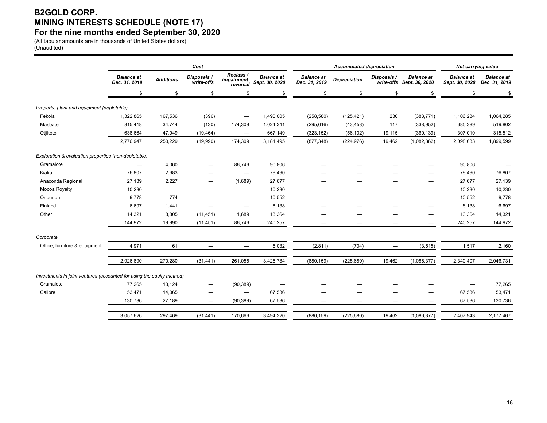## **B2GOLD CORP. MINING INTERESTS SCHEDULE (NOTE 17) For the nine months ended September 30, 2020**

(All tabular amounts are in thousands of United States dollars) (Unaudited)

|                                                                       |                                    |                  | Cost                            |                                     |                                     |                                    | <b>Accumulated depreciation</b> |             |                                                | <b>Net carrying value</b>           |                                    |
|-----------------------------------------------------------------------|------------------------------------|------------------|---------------------------------|-------------------------------------|-------------------------------------|------------------------------------|---------------------------------|-------------|------------------------------------------------|-------------------------------------|------------------------------------|
|                                                                       | <b>Balance at</b><br>Dec. 31, 2019 | <b>Additions</b> | Disposals /<br>write-offs       | Reclass /<br>impairment<br>reversal | <b>Balance at</b><br>Sept. 30, 2020 | <b>Balance</b> at<br>Dec. 31, 2019 | <b>Depreciation</b>             | Disposals / | <b>Balance at</b><br>write-offs Sept. 30, 2020 | <b>Balance at</b><br>Sept. 30, 2020 | <b>Balance</b> at<br>Dec. 31, 2019 |
|                                                                       | \$                                 | \$               | \$                              | \$                                  | \$                                  | \$                                 | \$                              | \$          | \$                                             | \$                                  |                                    |
| Property, plant and equipment (depletable)                            |                                    |                  |                                 |                                     |                                     |                                    |                                 |             |                                                |                                     |                                    |
| Fekola                                                                | 1,322,865                          | 167,536          | (396)                           | $\overbrace{\phantom{1232211}}$     | 1,490,005                           | (258, 580)                         | (125, 421)                      | 230         | (383, 771)                                     | 1,106,234                           | 1,064,285                          |
| Masbate                                                               | 815,418                            | 34,744           | (130)                           | 174,309                             | 1,024,341                           | (295, 616)                         | (43, 453)                       | 117         | (338, 952)                                     | 685,389                             | 519,802                            |
| Otjikoto                                                              | 638,664                            | 47,949           | (19, 464)                       | $\qquad \qquad \longleftarrow$      | 667,149                             | (323, 152)                         | (56, 102)                       | 19,115      | (360, 139)                                     | 307,010                             | 315,512                            |
|                                                                       | 2,776,947                          | 250,229          | (19,990)                        | 174,309                             | 3,181,495                           | (877, 348)                         | (224, 976)                      | 19,462      | (1,082,862)                                    | 2,098,633                           | 1,899,599                          |
| Exploration & evaluation properties (non-depletable)                  |                                    |                  |                                 |                                     |                                     |                                    |                                 |             |                                                |                                     |                                    |
| Gramalote                                                             |                                    | 4,060            | $\overline{\phantom{0}}$        | 86,746                              | 90,806                              |                                    |                                 |             |                                                | 90,806                              |                                    |
| Kiaka                                                                 | 76,807                             | 2,683            |                                 | —                                   | 79,490                              |                                    |                                 |             |                                                | 79,490                              | 76,807                             |
| Anaconda Regional                                                     | 27,139                             | 2,227            |                                 | (1,689)                             | 27,677                              |                                    |                                 |             |                                                | 27,677                              | 27,139                             |
| Mocoa Royalty                                                         | 10,230                             |                  |                                 | —                                   | 10,230                              |                                    |                                 |             |                                                | 10,230                              | 10,230                             |
| Ondundu                                                               | 9,778                              | 774              | —                               | $\overline{\phantom{0}}$            | 10,552                              |                                    |                                 |             |                                                | 10,552                              | 9,778                              |
| Finland                                                               | 6,697                              | 1,441            |                                 | -                                   | 8,138                               |                                    |                                 |             |                                                | 8,138                               | 6,697                              |
| Other                                                                 | 14,321                             | 8,805            | (11, 451)                       | 1,689                               | 13,364                              |                                    |                                 |             | -                                              | 13,364                              | 14,321                             |
|                                                                       | 144,972                            | 19,990           | (11, 451)                       | 86,746                              | 240,257                             | $\overline{\phantom{m}}$           | $\equiv$                        | $\equiv$    | $\overline{\phantom{m}}$                       | 240,257                             | 144,972                            |
| Corporate                                                             |                                    |                  |                                 |                                     |                                     |                                    |                                 |             |                                                |                                     |                                    |
| Office, furniture & equipment                                         | 4,971                              | 61               | $\overline{\phantom{0}}$        | $\overbrace{\phantom{1232211}}$     | 5,032                               | (2, 811)                           | (704)                           |             | (3, 515)                                       | 1,517                               | 2,160                              |
|                                                                       | 2,926,890                          | 270,280          | (31, 441)                       | 261,055                             | 3,426,784                           | (880, 159)                         | (225, 680)                      | 19,462      | (1,086,377)                                    | 2,340,407                           | 2,046,731                          |
| Investments in joint ventures (accounted for using the equity method) |                                    |                  |                                 |                                     |                                     |                                    |                                 |             |                                                |                                     |                                    |
| Gramalote                                                             | 77,265                             | 13,124           | —                               | (90, 389)                           |                                     |                                    |                                 |             |                                                |                                     | 77,265                             |
| Calibre                                                               | 53,471                             | 14,065           | $\hspace{0.1mm}-\hspace{0.1mm}$ |                                     | 67,536                              |                                    | —                               |             | —                                              | 67,536                              | 53,471                             |
|                                                                       | 130,736                            | 27,189           | $\overline{\phantom{m}}$        | (90, 389)                           | 67,536                              | $\hspace{0.1mm}-\hspace{0.1mm}$    | $\overbrace{\phantom{1232211}}$ |             | $\qquad \qquad$                                | 67,536                              | 130,736                            |
|                                                                       | 3.057.626                          | 297,469          | (31, 441)                       | 170,666                             | 3,494,320                           | (880, 159)                         | (225, 680)                      | 19,462      | (1,086,377)                                    | 2,407,943                           | 2,177,467                          |